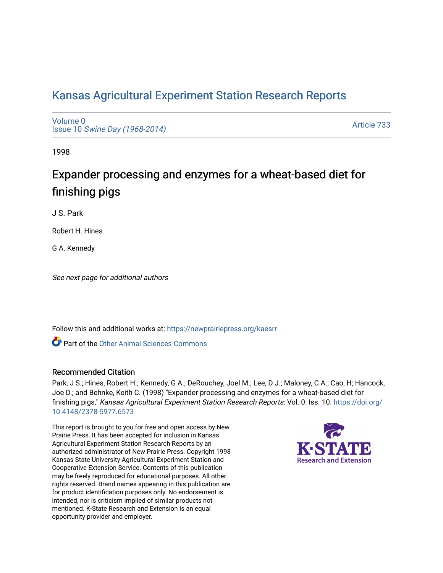## [Kansas Agricultural Experiment Station Research Reports](https://newprairiepress.org/kaesrr)

[Volume 0](https://newprairiepress.org/kaesrr/vol0) Issue 10 [Swine Day \(1968-2014\)](https://newprairiepress.org/kaesrr/vol0/iss10)

[Article 733](https://newprairiepress.org/kaesrr/vol0/iss10/733) 

1998

# Expander processing and enzymes for a wheat-based diet for finishing pigs

J S. Park

Robert H. Hines

G A. Kennedy

See next page for additional authors

Follow this and additional works at: [https://newprairiepress.org/kaesrr](https://newprairiepress.org/kaesrr?utm_source=newprairiepress.org%2Fkaesrr%2Fvol0%2Fiss10%2F733&utm_medium=PDF&utm_campaign=PDFCoverPages) 

**C** Part of the [Other Animal Sciences Commons](http://network.bepress.com/hgg/discipline/82?utm_source=newprairiepress.org%2Fkaesrr%2Fvol0%2Fiss10%2F733&utm_medium=PDF&utm_campaign=PDFCoverPages)

#### Recommended Citation

Park, J S.; Hines, Robert H.; Kennedy, G A.; DeRouchey, Joel M.; Lee, D J.; Maloney, C A.; Cao, H; Hancock, Joe D.; and Behnke, Keith C. (1998) "Expander processing and enzymes for a wheat-based diet for finishing pigs," Kansas Agricultural Experiment Station Research Reports: Vol. 0: Iss. 10. [https://doi.org/](https://doi.org/10.4148/2378-5977.6573) [10.4148/2378-5977.6573](https://doi.org/10.4148/2378-5977.6573)

This report is brought to you for free and open access by New Prairie Press. It has been accepted for inclusion in Kansas Agricultural Experiment Station Research Reports by an authorized administrator of New Prairie Press. Copyright 1998 Kansas State University Agricultural Experiment Station and Cooperative Extension Service. Contents of this publication may be freely reproduced for educational purposes. All other rights reserved. Brand names appearing in this publication are for product identification purposes only. No endorsement is intended, nor is criticism implied of similar products not mentioned. K-State Research and Extension is an equal opportunity provider and employer.

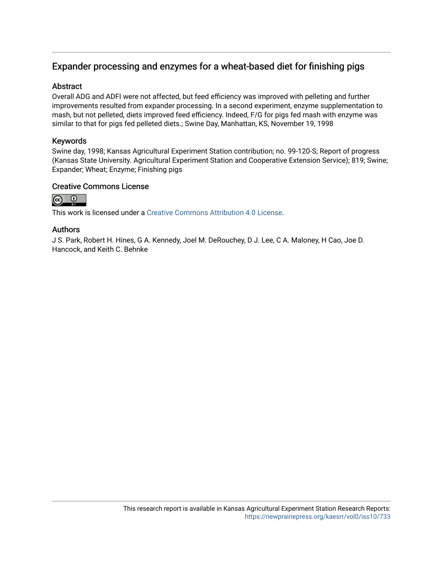### Expander processing and enzymes for a wheat-based diet for finishing pigs

#### **Abstract**

Overall ADG and ADFI were not affected, but feed efficiency was improved with pelleting and further improvements resulted from expander processing. In a second experiment, enzyme supplementation to mash, but not pelleted, diets improved feed efficiency. Indeed, F/G for pigs fed mash with enzyme was similar to that for pigs fed pelleted diets.; Swine Day, Manhattan, KS, November 19, 1998

#### Keywords

Swine day, 1998; Kansas Agricultural Experiment Station contribution; no. 99-120-S; Report of progress (Kansas State University. Agricultural Experiment Station and Cooperative Extension Service); 819; Swine; Expander; Wheat; Enzyme; Finishing pigs

#### Creative Commons License



This work is licensed under a [Creative Commons Attribution 4.0 License](https://creativecommons.org/licenses/by/4.0/).

#### Authors

J S. Park, Robert H. Hines, G A. Kennedy, Joel M. DeRouchey, D J. Lee, C A. Maloney, H Cao, Joe D. Hancock, and Keith C. Behnke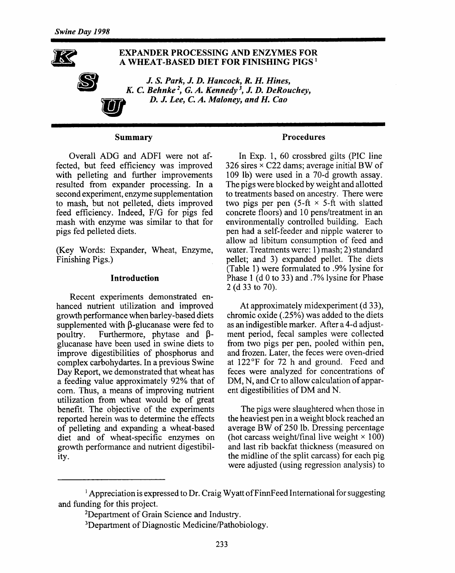

#### **Summary**

Overall ADG and ADFI were not affected, but feed efficiency was improved with pelleting and further improvements resulted from expander processing. In a second experiment, enzyme supplementation to mash, but not pelleted, diets improved feed efficiency. Indeed, F/G for pigs fed mash with enzyme was similar to that for pigs fed pelleted diets.

(Key Words: Expander, Wheat, Enzyme, Finishing Pigs.)

#### **Introduction**

Recent experiments demonstrated enhanced nutrient utilization and improved growth performance when barley-based diets supplemented with  $\beta$ -glucanase were fed to Furthermore, phytase and Bpoultry. glucanase have been used in swine diets to improve digestibilities of phosphorus and complex carbohydartes. In a previous Swine Day Report, we demonstrated that wheat has a feeding value approximately 92% that of corn. Thus, a means of improving nutrient utilization from wheat would be of great benefit. The objective of the experiments reported herein was to determine the effects of pelleting and expanding a wheat-based diet and of wheat-specific enzymes on growth performance and nutrient digestibility.

#### **Procedures**

In Exp. 1, 60 crossbred gilts (PIC line 326 sires  $\times$  C22 dams; average initial BW of 109 lb) were used in a 70-d growth assay. The pigs were blocked by weight and allotted to treatments based on ancestry. There were two pigs per pen  $(5-ft \times 5-ft)$  with slatted concrete floors) and 10 pens/treatment in an environmentally controlled building. Each pen had a self-feeder and nipple waterer to allow ad libitum consumption of feed and water. Treatments were: 1) mash; 2) standard pellet; and 3) expanded pellet. The diets (Table 1) were formulated to .9% lysine for Phase 1 (d 0 to 33) and .7% lysine for Phase 2 (d 33 to 70).

At approximately midexperiment (d 33), chromic oxide (.25%) was added to the diets as an indigestible marker. After a 4-d adjustment period, fecal samples were collected from two pigs per pen, pooled within pen, and frozen. Later, the feces were oven-dried at 122°F for 72 h and ground. Feed and feces were analyzed for concentrations of DM, N, and Cr to allow calculation of apparent digestibilities of DM and N.

The pigs were slaughtered when those in the heaviest pen in a weight block reached an average BW of 250 lb. Dressing percentage (hot carcass weight/final live weight  $\times$  100) and last rib backfat thickness (measured on the midline of the split carcass) for each pig were adjusted (using regression analysis) to

<sup>&</sup>lt;sup>1</sup> Appreciation is expressed to Dr. Craig Wyatt of FinnFeed International for suggesting and funding for this project.

<sup>&</sup>lt;sup>2</sup>Department of Grain Science and Industry.

<sup>&</sup>lt;sup>3</sup>Department of Diagnostic Medicine/Pathobiology.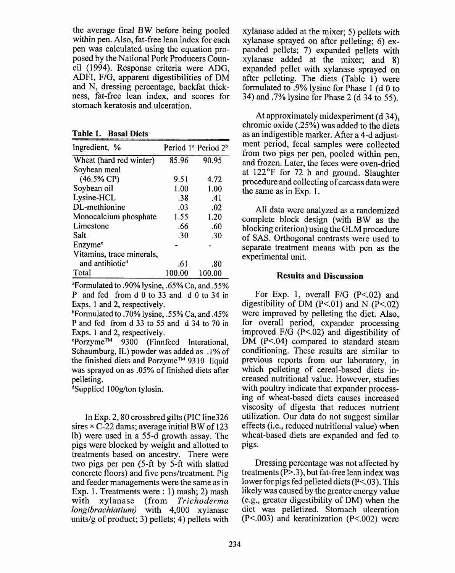the average final BW before being pooled within pen. Also, fat-free lean index for each pen was calculated using the equation proposed by the National Pork Producers Council (1994). Response criteria were ADG. ADFI, F/G, apparent digestibilities of DM and N, dressing percentage, backfat thickness, fat-free lean index, and scores for stomach keratosis and ulceration.

Table 1. Basal Diets

| Ingredient, %               |        | Period 1ª Period 2 <sup>b</sup> |
|-----------------------------|--------|---------------------------------|
| Wheat (hard red winter)     | 85.96  | 90.95                           |
| Soybean meal                |        |                                 |
| $(46.5\% \text{ CP})$       | 9.51   | 4.72                            |
| Soybean oil                 | 1.00   | 1.00                            |
| Lysine-HCL                  | .38    | .41                             |
| DL-methionine               | .03    | .02                             |
| Monocalcium phosphate       | 1.55   | 1.20                            |
| Limestone                   | .66    | .60                             |
| Salt                        | .30    | -30                             |
| Enzyme <sup>c</sup>         |        |                                 |
| Vitamins, trace minerals,   |        |                                 |
| and antibiotic <sup>d</sup> | .61    | .80                             |
| Total                       | 100.00 | 100.00                          |

<sup>a</sup>Formulated to .90% lysine, .65% Ca, and .55% P and fed from d 0 to 33 and d 0 to 34 in Exps. 1 and 2, respectively.

<sup>b</sup>Formulated to .70% lysine, .55% Ca, and .45% P and fed from d 33 to 55 and d 34 to 70 in Exps. 1 and 2, respectively.

"Porzyme™ 9300 (Finnfeed Interational, Schaumburg, IL) powder was added as .1% of the finished diets and Porzyme™ 9310 liquid was sprayed on as .05% of finished diets after pelleting.

<sup>d</sup>Supplied 100g/ton tylosin.

In Exp. 2, 80 crossbred gilts (PIC line 326 sires  $\times$  C-22 dams; average initial BW of 123 lb) were used in a 55-d growth assay. The pigs were blocked by weight and allotted to treatments based on ancestry. There were two pigs per pen (5-ft by 5-ft with slatted concrete floors) and five pens/treatment. Pig. and feeder managements were the same as in Exp. 1. Treatments were : 1) mash; 2) mash (from Trichoderma with xylanase *longibrachiatium*) with 4,000 xylanase units/ $g$  of product; 3) pellets; 4) pellets with

xvlanase added at the mixer; 5) pellets with xylanase sprayed on after pelleting; 6) expanded pellets; 7) expanded pellets with xvlanase added at the mixer; and 8) expanded pellet with xylanase sprayed on after pelleting. The diets (Table 1) were formulated to .9% lysine for Phase 1 (d 0 to 34) and .7% lysine for Phase 2 (d 34 to 55).

At approximately midexperiment (d 34), chromic oxide (.25%) was added to the diets as an indigestible marker. After a 4-d adjustment period, fecal samples were collected from two pigs per pen, pooled within pen. and frozen. Later, the feces were oven-dried at 122°F for 72 h and ground. Slaughter procedure and collecting of carcass data were the same as in Exp. 1.

All data were analyzed as a randomized complete block design (with BW as the blocking criterion) using the GLM procedure of SAS. Orthogonal contrasts were used to separate treatment means with pen as the experimental unit.

#### **Results and Discussion**

For Exp. 1, overall  $F/G$  (P<.02) and digestibility of DM  $(P<.01)$  and N  $(P<.02)$ were improved by pelleting the diet. Also, for overall period, expander processing improved  $F/G$  (P<.02) and digestibility of DM (P<.04) compared to standard steam conditioning. These results are similar to previous reports from our laboratory, in which pelleting of cereal-based diets increased nutritional value. However, studies with poultry indicate that expander processing of wheat-based diets causes increased viscosity of digesta that reduces nutrient utilization. Our data do not suggest similar effects (*i.e.*, reduced nutritional value) when wheat-based diets are expanded and fed to pigs.

Dressing percentage was not affected by treatments  $(P> 0.3)$ , but fat-free lean index was lower for pigs fed pelleted diets ( $P < 03$ ). This likely was caused by the greater energy value (e.g., greater digestibility of DM) when the diet was pelletized. Stomach ulceration  $(P<.003)$  and keratinization  $(P<.002)$  were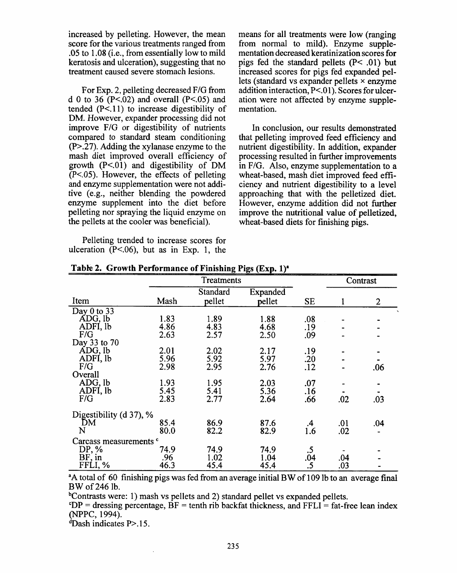increased by pelleting. However, the mean score for the various treatments ranged from .05 to 1.08 (i.e., from essentially low to mild keratosis and ulceration), suggesting that no treatment caused severe stomach lesions.

For Exp. 2, pelleting decreased F/G from d 0 to 36  $(P<.02)$  and overall  $(P<.05)$  and tended  $(P<.11)$  to increase digestibility of DM. However, expander processing did not improve F/G or digestibility of nutrients compared to standard steam conditioning  $(P > .27)$ . Adding the xylanase enzyme to the mash diet improved overall efficiency of growth  $(P<.01)$  and digestibility of DM  $(P<.05)$ . However, the effects of pelleting and enzyme supplementation were not additive (e.g., neither blending the powdered enzyme supplement into the diet before pelleting nor spraying the liquid enzyme on the pellets at the cooler was beneficial).

Pelleting trended to increase scores for ulceration  $(P<.06)$ , but as in Exp. 1, the means for all treatments were low (ranging from normal to mild). Enzyme supplementation decreased keratinization scores for pigs fed the standard pellets  $(P< .01)$  but increased scores for pigs fed expanded pellets (standard vs expander pellets  $\times$  enzyme addition interaction, P<.01). Scores for ulceration were not affected by enzyme supplementation.

In conclusion, our results demonstrated that pelleting improved feed efficiency and nutrient digestibility. In addition, expander processing resulted in further improvements in F/G. Also, enzyme supplementation to a wheat-based, mash diet improved feed efficiency and nutrient digestibility to a level approaching that with the pelletized diet. However, enzyme addition did not further improve the nutritional value of pelletized. wheat-based diets for finishing pigs.

|                                   |      | Treatments |          |           | Contrast |                |
|-----------------------------------|------|------------|----------|-----------|----------|----------------|
|                                   |      | Standard   | Expanded |           |          |                |
| Item                              | Mash | pellet     | pellet   | <b>SE</b> | 1        | $\overline{2}$ |
| Day $0$ to 33                     |      |            |          |           |          |                |
| ADG, lb                           | 1.83 | 1.89       | 1.88     | .08       |          |                |
| ADFI, lb                          | 4.86 | 4.83       | 4.68     | .19       |          |                |
| F/G                               | 2.63 | 2.57       | 2.50     | .09       |          |                |
| Day 33 to 70                      |      |            |          |           |          |                |
| ADG, lb                           | 2.01 | 2.02       | 2.17     | .19       |          |                |
| ADFI, lb                          | 5.96 | 5.92       | 5.97     | .20       |          |                |
| F/G                               | 2.98 | 2.95       | 2.76     | .12       |          | .06            |
| Overall                           |      |            |          |           |          |                |
| ADG, lb                           | 1.93 | 1.95       | 2.03     | .07       |          |                |
| ADFI, lb                          | 5.45 | 5.41       | 5.36     | .16       |          |                |
| F/G                               | 2.83 | 2.77       | 2.64     | .66       | .02      | .03            |
| Digestibility (d 37), %           |      |            |          |           |          |                |
| DM                                | 85.4 | 86.9       | 87.6     | .4        | .01      | .04            |
| N                                 | 80.0 | 82.2       | 82.9     | 1.6       | .02      |                |
| Carcass measurements <sup>c</sup> |      |            |          |           |          |                |
| DP, %                             | 74.9 | 74.9       | 74.9     | .5        |          |                |
| $BF$ , in                         | .96  | 1.02       | 1.04     | .04       | .04      |                |
| FFLI, %                           | 46.3 | 45.4       | 45.4     | .5        | .03      |                |

Table 2. Growth Performance of Finishing Pigs (Exp. 1)<sup>a</sup>

<sup>a</sup>A total of 60 finishing pigs was fed from an average initial BW of 109 lb to an average final BW of 246 lb.

<sup>b</sup>Contrasts were: 1) mash vs pellets and 2) standard pellet vs expanded pellets.

 $^{\circ}DP$  = dressing percentage, BF = tenth rib backfat thickness, and FFLI = fat-free lean index (NPPC, 1994).

 $\text{d}$ Dash indicates P>.15.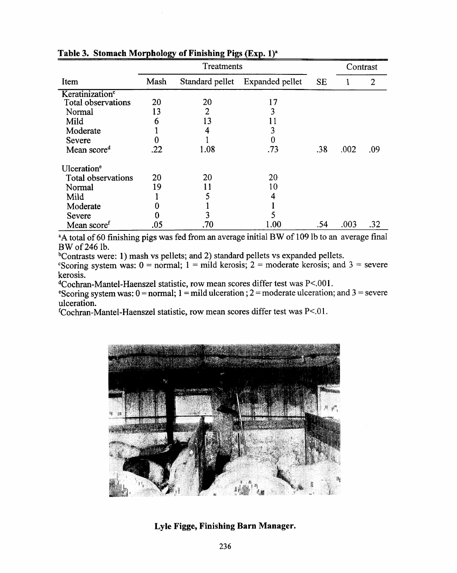|                             |      | Treatments      |                 | Contrast  |      |     |
|-----------------------------|------|-----------------|-----------------|-----------|------|-----|
| Item                        | Mash | Standard pellet | Expanded pellet | <b>SE</b> |      | 2   |
| Keratinization <sup>c</sup> |      |                 |                 |           |      |     |
| Total observations          | 20   | 20              | 17              |           |      |     |
| Normal                      | 13   | 2               | 3               |           |      |     |
| Mild                        | 6    | 13              |                 |           |      |     |
| Moderate                    |      |                 |                 |           |      |     |
| Severe                      | 0    |                 | 0               |           |      |     |
| Mean score <sup>d</sup>     | .22  | 1.08            | .73             | .38       | .002 | .09 |
| Ulceration <sup>e</sup>     |      |                 |                 |           |      |     |
| Total observations          | 20   | 20              | 20              |           |      |     |
| Normal                      | 19   | 11              | 10              |           |      |     |
| Mild                        |      |                 |                 |           |      |     |
| Moderate                    |      |                 |                 |           |      |     |
| Severe                      |      |                 |                 |           |      |     |
| Mean score <sup>t</sup>     | .05  | .70             | l .00           | .54       | .003 | .32 |

Table 3. Stomach Morphology of Finishing Pigs (Exp. 1)<sup>a</sup>

<sup>a</sup>A total of 60 finishing pigs was fed from an average initial BW of 109 lb to an average final BW of 246 lb.

<sup>b</sup>Contrasts were: 1) mash vs pellets; and 2) standard pellets vs expanded pellets.

Scoring system was:  $0 = normal$ ;  $1 = mild$  kerosis;  $2 = moderate$  kerosis; and  $3 = severe$ kerosis.

<sup>d</sup>Cochran-Mantel-Haenszel statistic, row mean scores differ test was P<.001.

<sup>e</sup>Scoring system was:  $0 = normal$ ;  $1 = mild$  ulceration;  $2 = moderate$  ulceration; and  $3 = severe$ ulceration.

fCochran-Mantel-Haenszel statistic, row mean scores differ test was P<.01.



Lyle Figge, Finishing Barn Manager.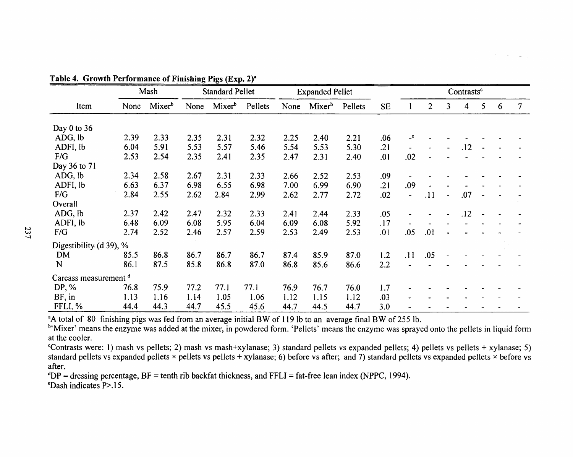|                         |      | Mash               |      | <b>Standard Pellet</b> |         |      | <b>Expanded Pellet</b> |         |           |         |                |                | Contrasts <sup>c</sup> |   |   |               |
|-------------------------|------|--------------------|------|------------------------|---------|------|------------------------|---------|-----------|---------|----------------|----------------|------------------------|---|---|---------------|
| Item                    | None | Mixer <sup>b</sup> | None | Mixer <sup>b</sup>     | Pellets | None | Mixer <sup>b</sup>     | Pellets | <b>SE</b> |         | $\overline{2}$ | 3              | 4                      | 5 | 6 | $\mathcal{I}$ |
| Day $0$ to $36$         |      |                    |      |                        |         |      |                        |         |           |         |                |                |                        |   |   |               |
| ADG, lb                 | 2.39 | 2.33               | 2.35 | 2.31                   | 2.32    | 2.25 | 2.40                   | 2.21    | .06       | $\cdot$ |                |                |                        |   |   |               |
| ADFI, lb                | 6.04 | 5.91               | 5.53 | 5.57                   | 5.46    | 5.54 | 5.53                   | 5.30    | .21       |         |                |                | .12                    |   |   |               |
| F/G                     | 2.53 | 2.54               | 2.35 | 2.41                   | 2.35    | 2.47 | 2.31                   | 2.40    | .01       | .02     |                |                |                        |   |   |               |
| Day 36 to 71            |      |                    |      |                        |         |      |                        |         |           |         |                |                |                        |   |   |               |
| ADG, lb                 | 2.34 | 2.58               | 2.67 | 2.31                   | 2.33    | 2.66 | 2.52                   | 2.53    | .09       |         |                |                |                        |   |   |               |
| ADFI, lb                | 6.63 | 6.37               | 6.98 | 6.55                   | 6.98    | 7.00 | 6.99                   | 6.90    | .21       | .09     |                |                |                        |   |   |               |
| F/G                     | 2.84 | 2.55               | 2.62 | 2.84                   | 2.99    | 2.62 | 2.77                   | 2.72    | .02       |         | .11            | $\blacksquare$ | .07                    |   |   |               |
| Overall                 |      |                    |      |                        |         |      |                        |         |           |         |                |                |                        |   |   |               |
| ADG, lb                 | 2.37 | 2.42               | 2.47 | 2.32                   | 2.33    | 2.41 | 2.44                   | 2.33    | .05       |         |                |                | .12                    |   |   |               |
| ADFI, lb                | 6.48 | 6.09               | 6.08 | 5.95                   | 6.04    | 6.09 | 6.08                   | 5.92    | .17       |         |                |                |                        |   |   |               |
| F/G                     | 2.74 | 2.52               | 2.46 | 2.57                   | 2.59    | 2.53 | 2.49                   | 2.53    | .01       | .05     | .01            |                |                        |   |   |               |
| Digestibility (d 39), % |      |                    |      |                        |         |      |                        |         |           |         |                |                |                        |   |   |               |
| <b>DM</b>               | 85.5 | 86.8               | 86.7 | 86.7                   | 86.7    | 87.4 | 85.9                   | 87.0    | 1.2       | .11     | .05            |                |                        |   |   |               |
| N                       | 86.1 | 87.5               | 85.8 | 86.8                   | 87.0    | 86.8 | 85.6                   | 86.6    | 2.2       |         |                |                |                        |   |   |               |
| Carcass measurement d   |      |                    |      |                        |         |      |                        |         |           |         |                |                |                        |   |   |               |
| DP, %                   | 76.8 | 75.9               | 77.2 | 77.1                   | 77.1    | 76.9 | 76.7                   | 76.0    | 1.7       |         |                |                |                        |   |   |               |
| BF, in                  | 1.13 | 1.16               | 1.14 | 1.05                   | 1.06    | 1.12 | 1.15                   | 1.12    | .03       |         |                |                |                        |   |   |               |
| FFLI, %                 | 44.4 | 44.3               | 44.7 | 45.5                   | 45.6    | 44.7 | 44.5                   | 44.7    | 3.0       |         |                |                |                        |   |   |               |

Table 4. Cuanth Barbonnance of Finishing Direction 218

<sup>a</sup>A total of 80 finishing pigs was fed from an average initial BW of 119 lb to an average final BW of 255 lb.

<sup>b</sup>'Mixer' means the enzyme was added at the mixer, in powdered form. 'Pellets' means the enzyme was sprayed onto the pellets in liquid form at the cooler.

"Contrasts were: 1) mash vs pellets; 2) mash vs mash+xylanase; 3) standard pellets vs expanded pellets; 4) pellets vs pellets + xylanase; 5) standard pellets vs expanded pellets × pellets vs pellets + xylanase; 6) before vs after; and 7) standard pellets vs expanded pellets × before vs after.

 $^dDP$  = dressing percentage, BF = tenth rib backfat thickness, and FFLI = fat-free lean index (NPPC, 1994).  $\epsilon$ Dash indicates P $> 15$ .